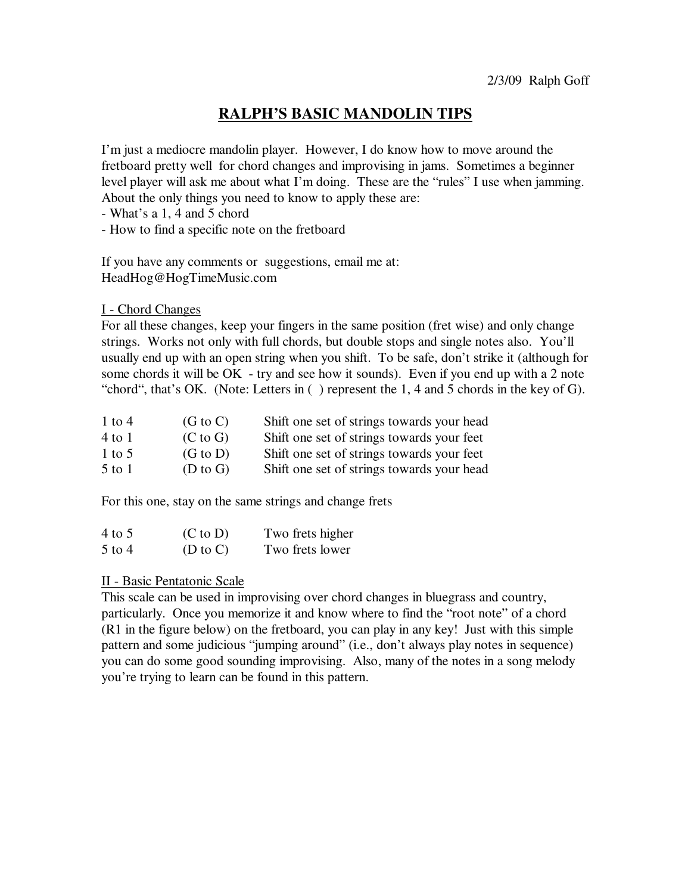## **RALPH'S BASIC MANDOLIN TIPS**

I'm just a mediocre mandolin player. However, I do know how to move around the fretboard pretty well for chord changes and improvising in jams. Sometimes a beginner level player will ask me about what I'm doing. These are the "rules" I use when jamming. About the only things you need to know to apply these are:

- What's a 1, 4 and 5 chord

- How to find a specific note on the fretboard

If you have any comments or suggestions, email me at: HeadHog@HogTimeMusic.com

I - Chord Changes

For all these changes, keep your fingers in the same position (fret wise) and only change strings. Works not only with full chords, but double stops and single notes also. You'll usually end up with an open string when you shift. To be safe, don't strike it (although for some chords it will be OK - try and see how it sounds). Even if you end up with a 2 note "chord", that's OK. (Note: Letters in ( ) represent the 1, 4 and 5 chords in the key of G).

| $1$ to $4$ | $(G \text{ to } C)$ | Shift one set of strings towards your head |
|------------|---------------------|--------------------------------------------|
| 4 to 1     | $(C \text{ to } G)$ | Shift one set of strings towards your feet |
| 1 to 5     | $(G \text{ to } D)$ | Shift one set of strings towards your feet |
| $5$ to $1$ | $(D \text{ to } G)$ | Shift one set of strings towards your head |

For this one, stay on the same strings and change frets

| 4 to 5   | $(C \text{ to } D)$ | Two frets higher |
|----------|---------------------|------------------|
| $5$ to 4 | $(D \text{ to } C)$ | Two frets lower  |

## II - Basic Pentatonic Scale

This scale can be used in improvising over chord changes in bluegrass and country, particularly. Once you memorize it and know where to find the "root note" of a chord (R1 in the figure below) on the fretboard, you can play in any key! Just with this simple pattern and some judicious "jumping around" (i.e., don't always play notes in sequence) you can do some good sounding improvising. Also, many of the notes in a song melody you're trying to learn can be found in this pattern.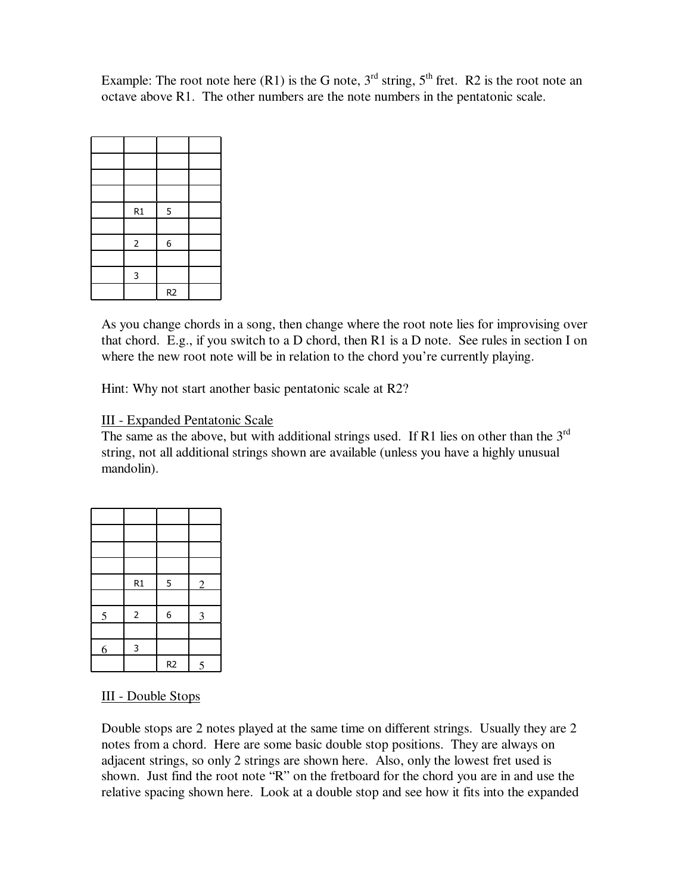Example: The root note here (R1) is the G note,  $3<sup>rd</sup>$  string,  $5<sup>th</sup>$  fret. R2 is the root note an octave above R1. The other numbers are the note numbers in the pentatonic scale.

| R1             | 5                |  |
|----------------|------------------|--|
|                |                  |  |
| $\overline{2}$ | $\boldsymbol{6}$ |  |
|                |                  |  |
| 3              |                  |  |
|                | R <sub>2</sub>   |  |

As you change chords in a song, then change where the root note lies for improvising over that chord. E.g., if you switch to a D chord, then R1 is a D note. See rules in section I on where the new root note will be in relation to the chord you're currently playing.

Hint: Why not start another basic pentatonic scale at R2?

## III - Expanded Pentatonic Scale

The same as the above, but with additional strings used. If R1 lies on other than the  $3<sup>rd</sup>$ string, not all additional strings shown are available (unless you have a highly unusual mandolin).

|   | R1             | 5                | $\overline{2}$ |
|---|----------------|------------------|----------------|
|   |                |                  |                |
| 5 | $\overline{2}$ | $\boldsymbol{6}$ | $\overline{3}$ |
|   |                |                  |                |
| 6 | $\mathbf{3}$   |                  |                |
|   |                | R <sub>2</sub>   | 5              |

## III - Double Stops

Double stops are 2 notes played at the same time on different strings. Usually they are 2 notes from a chord. Here are some basic double stop positions. They are always on adjacent strings, so only 2 strings are shown here. Also, only the lowest fret used is shown. Just find the root note "R" on the fretboard for the chord you are in and use the relative spacing shown here. Look at a double stop and see how it fits into the expanded